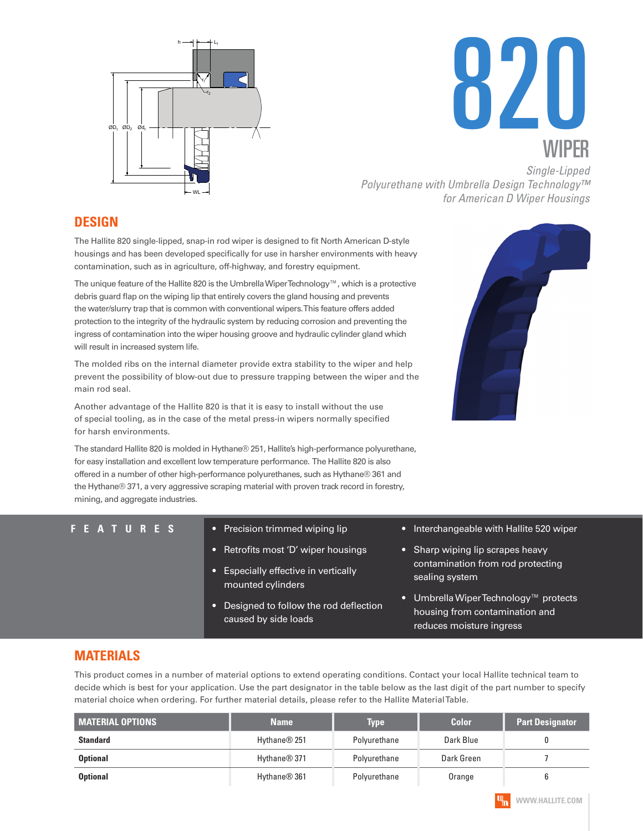



*Polyurethane with Umbrella Design Technology™ for American D Wiper Housings* 

## **DESIGN**

The Hallite 820 single-lipped, snap-in rod wiper is designed to fit North American D-style housings and has been developed specifically for use in harsher environments with heavy contamination, such as in agriculture, off-highway, and forestry equipment.

The unique feature of the Hallite 820 is the Umbrella Wiper Technology™, which is a protective debris guard flap on the wiping lip that entirely covers the gland housing and prevents the water/slurry trap that is common with conventional wipers. This feature offers added protection to the integrity of the hydraulic system by reducing corrosion and preventing the ingress of contamination into the wiper housing groove and hydraulic cylinder gland which will result in increased system life.

The molded ribs on the internal diameter provide extra stability to the wiper and help prevent the possibility of blow-out due to pressure trapping between the wiper and the main rod seal.

Another advantage of the Hallite 820 is that it is easy to install without the use of special tooling, as in the case of the metal press-in wipers normally specified for harsh environments.

The standard Hallite 820 is molded in Hythane® 251, Hallite's high-performance polyurethane, for easy installation and excellent low temperature performance. The Hallite 820 is also offered in a number of other high-performance polyurethanes, such as Hythane® 361 and the Hythane® 371, a very aggressive scraping material with proven track record in forestry, mining, and aggregate industries.

| <b>FEATURES</b> | Precision trimmed wiping lip<br>O                              | • Interchangeable with Hallite 520 wiper                                                                      |
|-----------------|----------------------------------------------------------------|---------------------------------------------------------------------------------------------------------------|
|                 | Retrofits most 'D' wiper housings                              | • Sharp wiping lip scrapes heavy                                                                              |
|                 | <b>Especially effective in vertically</b><br>mounted cylinders | contamination from rod protecting<br>sealing system                                                           |
|                 | Designed to follow the rod deflection<br>caused by side loads  | Umbrella Wiper Technology™ protects<br><b>O</b><br>housing from contamination and<br>reduces moisture ingress |

## **MATERIALS**

This product comes in a number of material options to extend operating conditions. Contact your local Hallite technical team to decide which is best for your application. Use the part designator in the table below as the last digit of the part number to specify material choice when ordering. For further material details, please refer to the Hallite Material Table.

| <b>MATERIAL OPTIONS</b> | <b>Name</b>              | <b>Type</b>  |            | <b>Part Designator</b> |  |
|-------------------------|--------------------------|--------------|------------|------------------------|--|
| <b>Standard</b>         | Hythane <sup>®</sup> 251 | Polyurethane | Dark Blue  |                        |  |
| <b>Optional</b>         | Hythane <sup>®</sup> 371 | Polyurethane | Dark Green |                        |  |
| <b>Optional</b>         | Hythane <sup>®</sup> 361 | Polyurethane | Orange     |                        |  |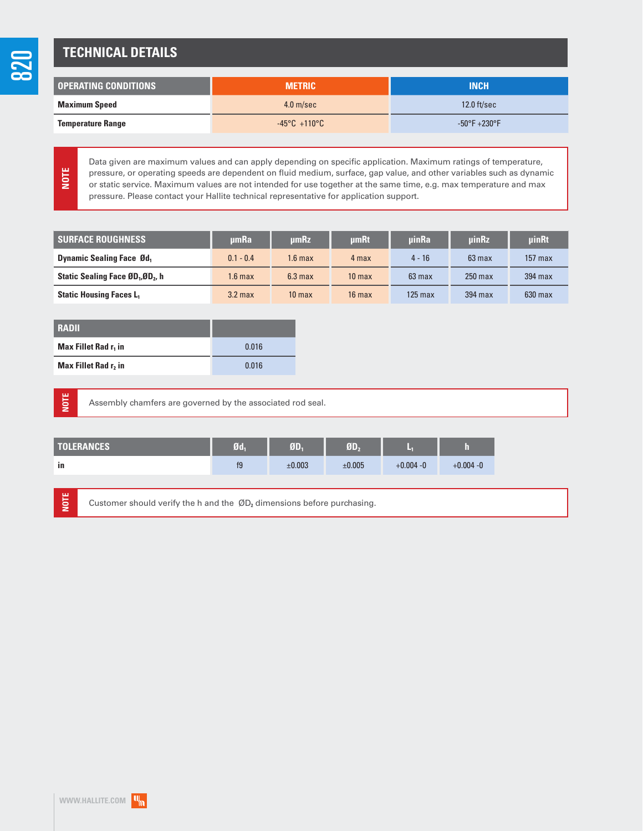## **TECHNICAL DETAILS**

| OPERATING CONDITIONS     | <b>METRIC</b>                    | <b>INCH</b>                       |  |
|--------------------------|----------------------------------|-----------------------------------|--|
| <b>Maximum Speed</b>     | $4.0$ m/sec                      | $12.0$ ft/sec                     |  |
| <b>Temperature Range</b> | $-45^{\circ}$ C $+110^{\circ}$ C | $-50^{\circ}$ F +230 $^{\circ}$ F |  |

**NOTE**

Data given are maximum values and can apply depending on specific application. Maximum ratings of temperature, pressure, or operating speeds are dependent on fluid medium, surface, gap value, and other variables such as dynamic or static service. Maximum values are not intended for use together at the same time, e.g. max temperature and max pressure. Please contact your Hallite technical representative for application support.

| <b>SURFACE ROUGHNESS</b>                                  | umRa               | <b>umRz</b>       | <b>umRt</b>       | uinRa            | <b>uinRz</b>     | uinRt     |
|-----------------------------------------------------------|--------------------|-------------------|-------------------|------------------|------------------|-----------|
| <b>Dynamic Sealing Face Ød</b> ,                          | $0.1 - 0.4$        | $1.6 \text{ max}$ | 4 max             | $4 - 16$         | $63 \text{ max}$ | $157$ max |
| Static Sealing Face ØD <sub>1</sub> , ØD <sub>2</sub> , h | 1.6 max            | $6.3$ max         | 10 <sub>max</sub> | $63 \text{ max}$ | $250$ max        | 394 max   |
| <b>Static Housing Faces L</b>                             | 3.2 <sub>max</sub> | 10 <sub>max</sub> | $16 \text{ max}$  | $125$ max        | 394 max          | $630$ max |

| <b>RADII</b>                     |       |
|----------------------------------|-------|
| Max Fillet Rad r <sub>1</sub> in | 0.016 |
| Max Fillet Rad r, in             | 0.016 |

**NOTE**

**NOTE**

Assembly chamfers are governed by the associated rod seal.

| <b>TOLERANCES</b> | 70 | 9D.    | <b>GD.</b> |              |              |
|-------------------|----|--------|------------|--------------|--------------|
| in                | f9 | ±0.003 | ±0.005     | $+0.004 - 0$ | $+0.004 - 0$ |

Customer should verify the h and the ØD**₂** dimensions before purchasing.